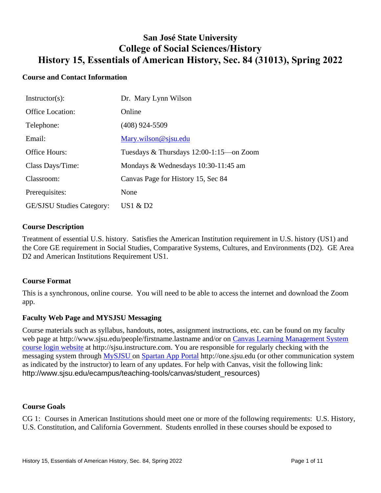# **San José State University College of Social Sciences/History History 15, Essentials of American History, Sec. 84 (31013), Spring 2022**

### **Course and Contact Information**

| $Instructor(s)$ :                | Dr. Mary Lynn Wilson                      |
|----------------------------------|-------------------------------------------|
| Office Location:                 | Online                                    |
| Telephone:                       | $(408)$ 924-5509                          |
| Email:                           | Mary.wilson@sjsu.edu                      |
| Office Hours:                    | Tuesdays & Thursdays 12:00-1:15 — on Zoom |
| Class Days/Time:                 | Mondays & Wednesdays 10:30-11:45 am       |
| Classroom:                       | Canvas Page for History 15, Sec 84        |
| Prerequisites:                   | None                                      |
| <b>GE/SJSU Studies Category:</b> | US1 $\&$ D2                               |

#### **Course Description**

Treatment of essential U.S. history. Satisfies the American Institution requirement in U.S. history (US1) and the Core GE requirement in Social Studies, Comparative Systems, Cultures, and Environments (D2). GE Area D2 and American Institutions Requirement US1.

#### **Course Format**

This is a synchronous, online course. You will need to be able to access the internet and download the Zoom app.

#### **Faculty Web Page and MYSJSU Messaging**

Course materials such as syllabus, handouts, notes, assignment instructions, etc. can be found on my faculty web page at http://www.sjsu.edu/people/firstname.lastname and/or on Canvas Learning Management System [course login website](file:///C:/Users/Spain/Desktop/2018/Outreach/Canvas%20Learning%20Management%20System%20course%20login%20website) at http://sjsu.instructure.com. You are responsible for regularly checking with the messaging system through MySJSU on [Spartan App Portal](http://one.sjsu.edu/) http://one.sjsu.edu (or other communication system as indicated by the instructor) to learn of any updates. For help with Canvas, visit the following link: http://www.sjsu.edu/ecampus/teaching-tools/canvas/student\_resources)

#### **Course Goals**

CG 1: Courses in American Institutions should meet one or more of the following requirements: U.S. History, U.S. Constitution, and California Government. Students enrolled in these courses should be exposed to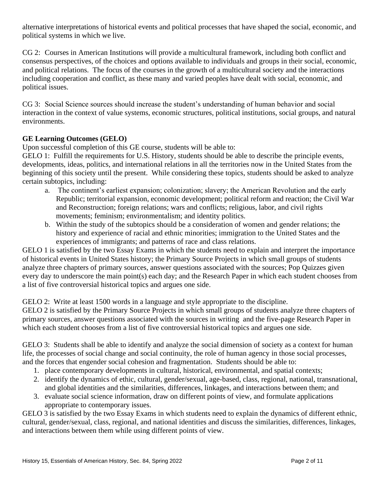alternative interpretations of historical events and political processes that have shaped the social, economic, and political systems in which we live.

CG 2: Courses in American Institutions will provide a multicultural framework, including both conflict and consensus perspectives, of the choices and options available to individuals and groups in their social, economic, and political relations. The focus of the courses in the growth of a multicultural society and the interactions including cooperation and conflict, as these many and varied peoples have dealt with social, economic, and political issues.

CG 3: Social Science sources should increase the student's understanding of human behavior and social interaction in the context of value systems, economic structures, political institutions, social groups, and natural environments.

### **GE Learning Outcomes (GELO)**

Upon successful completion of this GE course, students will be able to:

GELO 1: Fulfill the requirements for U.S. History, students should be able to describe the principle events, developments, ideas, politics, and international relations in all the territories now in the United States from the beginning of this society until the present. While considering these topics, students should be asked to analyze certain subtopics, including:

- a. The continent's earliest expansion; colonization; slavery; the American Revolution and the early Republic; territorial expansion, economic development; political reform and reaction; the Civil War and Reconstruction; foreign relations; wars and conflicts; religious, labor, and civil rights movements; feminism; environmentalism; and identity politics.
- b. Within the study of the subtopics should be a consideration of women and gender relations; the history and experience of racial and ethnic minorities; immigration to the United States and the experiences of immigrants; and patterns of race and class relations.

GELO 1 is satisfied by the two Essay Exams in which the students need to explain and interpret the importance of historical events in United States history; the Primary Source Projects in which small groups of students analyze three chapters of primary sources, answer questions associated with the sources; Pop Quizzes given every day to underscore the main point(s) each day; and the Research Paper in which each student chooses from a list of five controversial historical topics and argues one side.

GELO 2: Write at least 1500 words in a language and style appropriate to the discipline.

GELO 2 is satisfied by the Primary Source Projects in which small groups of students analyze three chapters of primary sources, answer questions associated with the sources in writing and the five-page Research Paper in which each student chooses from a list of five controversial historical topics and argues one side.

GELO 3: Students shall be able to identify and analyze the social dimension of society as a context for human life, the processes of social change and social continuity, the role of human agency in those social processes, and the forces that engender social cohesion and fragmentation. Students should be able to:

- 1. place contemporary developments in cultural, historical, environmental, and spatial contexts;
- 2. identify the dynamics of ethic, cultural, gender/sexual, age-based, class, regional, national, transnational, and global identities and the similarities, differences, linkages, and interactions between them; and
- 3. evaluate social science information, draw on different points of view, and formulate applications appropriate to contemporary issues.

GELO 3 is satisfied by the two Essay Exams in which students need to explain the dynamics of different ethnic, cultural, gender/sexual, class, regional, and national identities and discuss the similarities, differences, linkages, and interactions between them while using different points of view.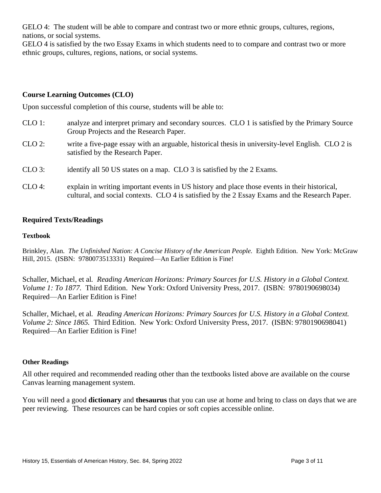GELO 4: The student will be able to compare and contrast two or more ethnic groups, cultures, regions, nations, or social systems.

GELO 4 is satisfied by the two Essay Exams in which students need to to compare and contrast two or more ethnic groups, cultures, regions, nations, or social systems.

### **Course Learning Outcomes (CLO)**

Upon successful completion of this course, students will be able to:

- CLO 1: analyze and interpret primary and secondary sources. CLO 1 is satisfied by the Primary Source Group Projects and the Research Paper.
- CLO 2: write a five-page essay with an arguable, historical thesis in university-level English. CLO 2 is satisfied by the Research Paper.
- CLO 3: identify all 50 US states on a map. CLO 3 is satisfied by the 2 Exams.
- CLO 4: explain in writing important events in US history and place those events in their historical, cultural, and social contexts. CLO 4 is satisfied by the 2 Essay Exams and the Research Paper.

#### **Required Texts/Readings**

#### **Textbook**

Brinkley, Alan*. The Unfinished Nation: A Concise History of the American People.* Eighth Edition. New York: McGraw Hill, 2015. (ISBN: 9780073513331) Required—An Earlier Edition is Fine!

Schaller, Michael, et al*. Reading American Horizons: Primary Sources for U.S. History in a Global Context. Volume 1: To 1877.* Third Edition. New York: Oxford University Press, 2017. (ISBN: 9780190698034) Required—An Earlier Edition is Fine!

Schaller, Michael, et al*. Reading American Horizons: Primary Sources for U.S. History in a Global Context. Volume 2: Since 1865.* Third Edition. New York: Oxford University Press, 2017. (ISBN: 9780190698041) Required—An Earlier Edition is Fine!

#### **Other Readings**

All other required and recommended reading other than the textbooks listed above are available on the course Canvas learning management system.

You will need a good **dictionary** and **thesaurus** that you can use at home and bring to class on days that we are peer reviewing. These resources can be hard copies or soft copies accessible online.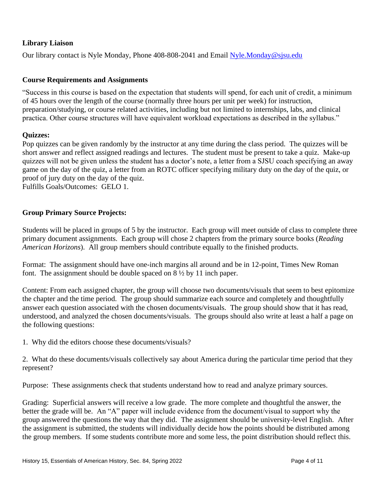# **Library Liaison**

Our library contact is Nyle Monday, Phone 408-808-2041 and Email [Nyle.Monday@sjsu.edu](mailto:Nyle.Monday@sjsu.edu)

### **Course Requirements and Assignments**

"Success in this course is based on the expectation that students will spend, for each unit of credit, a minimum of 45 hours over the length of the course (normally three hours per unit per week) for instruction, preparation/studying, or course related activities, including but not limited to internships, labs, and clinical practica. Other course structures will have equivalent workload expectations as described in the syllabus."

#### **Quizzes:**

Pop quizzes can be given randomly by the instructor at any time during the class period. The quizzes will be short answer and reflect assigned readings and lectures. The student must be present to take a quiz. Make-up quizzes will not be given unless the student has a doctor's note, a letter from a SJSU coach specifying an away game on the day of the quiz, a letter from an ROTC officer specifying military duty on the day of the quiz, or proof of jury duty on the day of the quiz.

Fulfills Goals/Outcomes: GELO 1.

### **Group Primary Source Projects:**

Students will be placed in groups of 5 by the instructor. Each group will meet outside of class to complete three primary document assignments. Each group will chose 2 chapters from the primary source books (*Reading American Horizons*). All group members should contribute equally to the finished products.

Format: The assignment should have one-inch margins all around and be in 12-point, Times New Roman font. The assignment should be double spaced on 8 ½ by 11 inch paper.

Content: From each assigned chapter, the group will choose two documents/visuals that seem to best epitomize the chapter and the time period. The group should summarize each source and completely and thoughtfully answer each question associated with the chosen documents/visuals. The group should show that it has read, understood, and analyzed the chosen documents/visuals. The groups should also write at least a half a page on the following questions:

1. Why did the editors choose these documents/visuals?

2. What do these documents/visuals collectively say about America during the particular time period that they represent?

Purpose: These assignments check that students understand how to read and analyze primary sources.

Grading: Superficial answers will receive a low grade. The more complete and thoughtful the answer, the better the grade will be. An "A" paper will include evidence from the document/visual to support why the group answered the questions the way that they did. The assignment should be university-level English. After the assignment is submitted, the students will individually decide how the points should be distributed among the group members. If some students contribute more and some less, the point distribution should reflect this.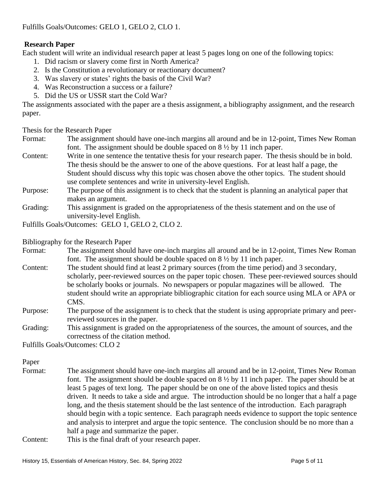# **Research Paper**

Each student will write an individual research paper at least 5 pages long on one of the following topics:

- 1. Did racism or slavery come first in North America?
- 2. Is the Constitution a revolutionary or reactionary document?
- 3. Was slavery or states' rights the basis of the Civil War?
- 4. Was Reconstruction a success or a failure?
- 5. Did the US or USSR start the Cold War?

The assignments associated with the paper are a thesis assignment, a bibliography assignment, and the research paper.

Thesis for the Research Paper

- Format: The assignment should have one-inch margins all around and be in 12-point, Times New Roman font. The assignment should be double spaced on 8 ½ by 11 inch paper.
- Content: Write in one sentence the tentative thesis for your research paper. The thesis should be in bold. The thesis should be the answer to one of the above questions. For at least half a page, the Student should discuss why this topic was chosen above the other topics. The student should use complete sentences and write in university-level English.
- Purpose: The purpose of this assignment is to check that the student is planning an analytical paper that makes an argument.
- Grading: This assignment is graded on the appropriateness of the thesis statement and on the use of university-level English.

Fulfills Goals/Outcomes: GELO 1, GELO 2, CLO 2.

Bibliography for the Research Paper

- Format: The assignment should have one-inch margins all around and be in 12-point, Times New Roman font. The assignment should be double spaced on  $8\frac{1}{2}$  by 11 inch paper.
- Content: The student should find at least 2 primary sources (from the time period) and 3 secondary, scholarly, peer-reviewed sources on the paper topic chosen. These peer-reviewed sources should be scholarly books or journals. No newspapers or popular magazines will be allowed. The student should write an appropriate bibliographic citation for each source using MLA or APA or CMS.
- Purpose: The purpose of the assignment is to check that the student is using appropriate primary and peerreviewed sources in the paper.
- Grading: This assignment is graded on the appropriateness of the sources, the amount of sources, and the correctness of the citation method.

Fulfills Goals/Outcomes: CLO 2

#### Paper

- Format: The assignment should have one-inch margins all around and be in 12-point, Times New Roman font. The assignment should be double spaced on  $8\frac{1}{2}$  by 11 inch paper. The paper should be at least 5 pages of text long. The paper should be on one of the above listed topics and thesis driven. It needs to take a side and argue. The introduction should be no longer that a half a page long, and the thesis statement should be the last sentence of the introduction. Each paragraph should begin with a topic sentence. Each paragraph needs evidence to support the topic sentence and analysis to interpret and argue the topic sentence. The conclusion should be no more than a half a page and summarize the paper.
- Content: This is the final draft of your research paper.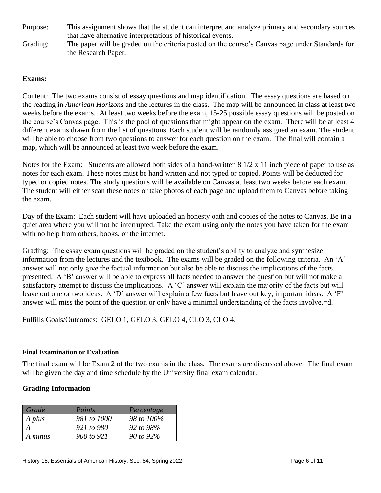Purpose: This assignment shows that the student can interpret and analyze primary and secondary sources that have alternative interpretations of historical events.

Grading: The paper will be graded on the criteria posted on the course's Canvas page under Standards for the Research Paper.

### **Exams:**

Content: The two exams consist of essay questions and map identification. The essay questions are based on the reading in *American Horizons* and the lectures in the class. The map will be announced in class at least two weeks before the exams. At least two weeks before the exam, 15-25 possible essay questions will be posted on the course's Canvas page. This is the pool of questions that might appear on the exam. There will be at least 4 different exams drawn from the list of questions. Each student will be randomly assigned an exam. The student will be able to choose from two questions to answer for each question on the exam. The final will contain a map, which will be announced at least two week before the exam.

Notes for the Exam: Students are allowed both sides of a hand-written 8 1/2 x 11 inch piece of paper to use as notes for each exam. These notes must be hand written and not typed or copied. Points will be deducted for typed or copied notes. The study questions will be available on Canvas at least two weeks before each exam. The student will either scan these notes or take photos of each page and upload them to Canvas before taking the exam.

Day of the Exam: Each student will have uploaded an honesty oath and copies of the notes to Canvas. Be in a quiet area where you will not be interrupted. Take the exam using only the notes you have taken for the exam with no help from others, books, or the internet.

Grading: The essay exam questions will be graded on the student's ability to analyze and synthesize information from the lectures and the textbook. The exams will be graded on the following criteria. An 'A' answer will not only give the factual information but also be able to discuss the implications of the facts presented. A 'B' answer will be able to express all facts needed to answer the question but will not make a satisfactory attempt to discuss the implications. A 'C' answer will explain the majority of the facts but will leave out one or two ideas. A 'D' answer will explain a few facts but leave out key, important ideas. A 'F' answer will miss the point of the question or only have a minimal understanding of the facts involve.=d.

Fulfills Goals/Outcomes: GELO 1, GELO 3, GELO 4, CLO 3, CLO 4.

#### **Final Examination or Evaluation**

The final exam will be Exam 2 of the two exams in the class. The exams are discussed above. The final exam will be given the day and time schedule by the University final exam calendar.

## **Grading Information**

| Grade   | Points      | Percentage |
|---------|-------------|------------|
| A plus  | 981 to 1000 | 98 to 100% |
|         | 921 to 980  | 92 to 98%  |
| A minus | 900 to 921  | 90 to 92%  |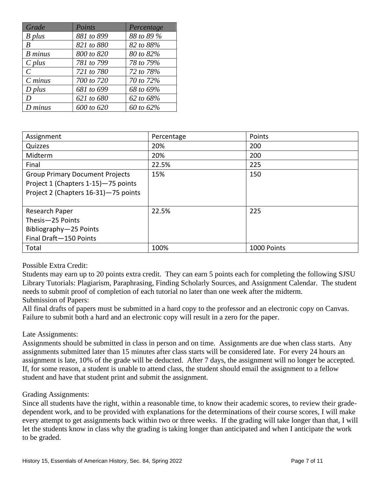| Grade                       | Points     | Percentage |
|-----------------------------|------------|------------|
| B plus                      | 881 to 899 | 88 to 89 % |
| B                           | 821 to 880 | 82 to 88%  |
| <b>B</b> minus              | 800 to 820 | 80 to 82%  |
| $C$ plus                    | 781 to 799 | 78 to 79%  |
| $\mathcal{C}_{\mathcal{C}}$ | 721 to 780 | 72 to 78%  |
| $C$ minus                   | 700 to 720 | 70 to 72%  |
| $D$ plus                    | 681 to 699 | 68 to 69%  |
| D                           | 621 to 680 | 62 to 68%  |
| $D$ minus                   | 600 to 620 | 60 to 62%  |

| Assignment                                                                                                            | Percentage | Points      |
|-----------------------------------------------------------------------------------------------------------------------|------------|-------------|
| Quizzes                                                                                                               | 20%        | 200         |
| Midterm                                                                                                               | 20%        | 200         |
| Final                                                                                                                 | 22.5%      | 225         |
| <b>Group Primary Document Projects</b><br>Project 1 (Chapters 1-15)-75 points<br>Project 2 (Chapters 16-31)-75 points | 15%        | 150         |
|                                                                                                                       |            |             |
| Research Paper                                                                                                        | 22.5%      | 225         |
| Thesis-25 Points                                                                                                      |            |             |
| Bibliography-25 Points                                                                                                |            |             |
| Final Draft-150 Points                                                                                                |            |             |
| Total                                                                                                                 | 100%       | 1000 Points |

Possible Extra Credit:

Students may earn up to 20 points extra credit. They can earn 5 points each for completing the following SJSU Library Tutorials: Plagiarism, Paraphrasing, Finding Scholarly Sources, and Assignment Calendar. The student needs to submit proof of completion of each tutorial no later than one week after the midterm. Submission of Papers:

All final drafts of papers must be submitted in a hard copy to the professor and an electronic copy on Canvas. Failure to submit both a hard and an electronic copy will result in a zero for the paper.

#### Late Assignments:

Assignments should be submitted in class in person and on time. Assignments are due when class starts. Any assignments submitted later than 15 minutes after class starts will be considered late. For every 24 hours an assignment is late, 10% of the grade will be deducted. After 7 days, the assignment will no longer be accepted. If, for some reason, a student is unable to attend class, the student should email the assignment to a fellow student and have that student print and submit the assignment.

#### Grading Assignments:

Since all students have the right, within a reasonable time, to know their academic scores, to review their gradedependent work, and to be provided with explanations for the determinations of their course scores, I will make every attempt to get assignments back within two or three weeks. If the grading will take longer than that, I will let the students know in class why the grading is taking longer than anticipated and when I anticipate the work to be graded.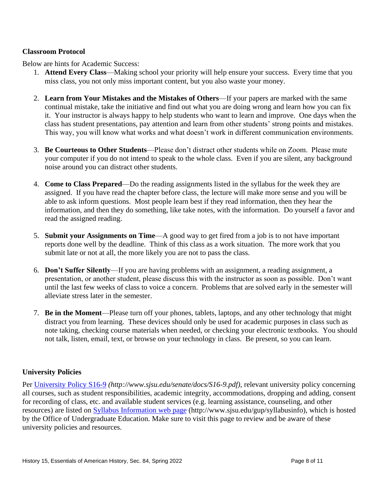### **Classroom Protocol**

Below are hints for Academic Success:

- 1. **Attend Every Class**—Making school your priority will help ensure your success. Every time that you miss class, you not only miss important content, but you also waste your money.
- 2. **Learn from Your Mistakes and the Mistakes of Others**—If your papers are marked with the same continual mistake, take the initiative and find out what you are doing wrong and learn how you can fix it. Your instructor is always happy to help students who want to learn and improve. One days when the class has student presentations, pay attention and learn from other students' strong points and mistakes. This way, you will know what works and what doesn't work in different communication environments.
- 3. **Be Courteous to Other Students**—Please don't distract other students while on Zoom. Please mute your computer if you do not intend to speak to the whole class. Even if you are silent, any background noise around you can distract other students.
- 4. **Come to Class Prepared**—Do the reading assignments listed in the syllabus for the week they are assigned. If you have read the chapter before class, the lecture will make more sense and you will be able to ask inform questions. Most people learn best if they read information, then they hear the information, and then they do something, like take notes, with the information. Do yourself a favor and read the assigned reading.
- 5. **Submit your Assignments on Time**—A good way to get fired from a job is to not have important reports done well by the deadline. Think of this class as a work situation. The more work that you submit late or not at all, the more likely you are not to pass the class.
- 6. **Don't Suffer Silently**—If you are having problems with an assignment, a reading assignment, a presentation, or another student, please discuss this with the instructor as soon as possible. Don't want until the last few weeks of class to voice a concern. Problems that are solved early in the semester will alleviate stress later in the semester.
- 7. **Be in the Moment**—Please turn off your phones, tablets, laptops, and any other technology that might distract you from learning. These devices should only be used for academic purposes in class such as note taking, checking course materials when needed, or checking your electronic textbooks. You should not talk, listen, email, text, or browse on your technology in class. Be present, so you can learn.

#### **University Policies**

Per [University Policy S16-9](http://www.sjsu.edu/senate/docs/S16-9.pdf) *(http://www.sjsu.edu/senate/docs/S16-9.pdf)*, relevant university policy concerning all courses, such as student responsibilities, academic integrity, accommodations, dropping and adding, consent for recording of class, etc. and available student services (e.g. learning assistance, counseling, and other resources) are listed on [Syllabus Information](http://www.sjsu.edu/gup/syllabusinfo/) web page (http://www.sjsu.edu/gup/syllabusinfo), which is hosted by the Office of Undergraduate Education. Make sure to visit this page to review and be aware of these university policies and resources.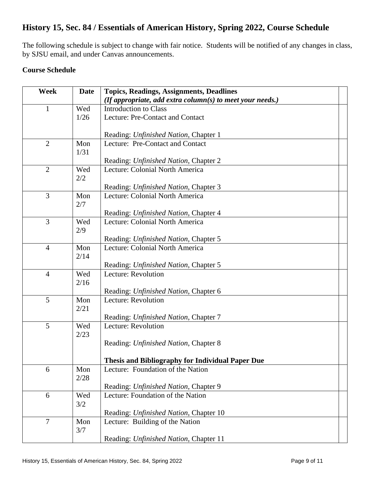# **History 15, Sec. 84 / Essentials of American History, Spring 2022, Course Schedule**

The following schedule is subject to change with fair notice. Students will be notified of any changes in class, by SJSU email, and under Canvas announcements.

# **Course Schedule**

| Week           | <b>Date</b> | <b>Topics, Readings, Assignments, Deadlines</b>              |
|----------------|-------------|--------------------------------------------------------------|
|                |             | (If appropriate, add extra column(s) to meet your needs.)    |
| 1              | Wed         | <b>Introduction to Class</b>                                 |
|                | 1/26        | Lecture: Pre-Contact and Contact                             |
|                |             |                                                              |
|                |             | Reading: Unfinished Nation, Chapter 1                        |
| $\overline{2}$ | Mon<br>1/31 | Lecture: Pre-Contact and Contact                             |
|                |             | Reading: Unfinished Nation, Chapter 2                        |
| $\overline{2}$ | Wed         | Lecture: Colonial North America                              |
|                | 2/2         |                                                              |
|                |             | Reading: Unfinished Nation, Chapter 3                        |
| 3              | Mon         | Lecture: Colonial North America                              |
|                | 2/7         |                                                              |
|                |             | Reading: Unfinished Nation, Chapter 4                        |
| $\overline{3}$ | Wed         | Lecture: Colonial North America                              |
|                | 2/9         | Reading: Unfinished Nation, Chapter 5                        |
| $\overline{4}$ | Mon         | Lecture: Colonial North America                              |
|                | 2/14        |                                                              |
|                |             | Reading: Unfinished Nation, Chapter 5                        |
| $\overline{4}$ | Wed         | Lecture: Revolution                                          |
|                | 2/16        |                                                              |
|                |             | Reading: Unfinished Nation, Chapter 6                        |
| 5              | Mon         | Lecture: Revolution                                          |
|                | 2/21        |                                                              |
| 5              | Wed         | Reading: Unfinished Nation, Chapter 7<br>Lecture: Revolution |
|                | 2/23        |                                                              |
|                |             | Reading: Unfinished Nation, Chapter 8                        |
|                |             |                                                              |
|                |             | <b>Thesis and Bibliography for Individual Paper Due</b>      |
| 6              | Mon         | Lecture: Foundation of the Nation                            |
|                | 2/28        |                                                              |
|                |             | Reading: Unfinished Nation, Chapter 9                        |
| 6              | Wed         | Lecture: Foundation of the Nation                            |
|                | 3/2         | Reading: Unfinished Nation, Chapter 10                       |
| $\tau$         | Mon         | Lecture: Building of the Nation                              |
|                | 3/7         |                                                              |
|                |             | Reading: Unfinished Nation, Chapter 11                       |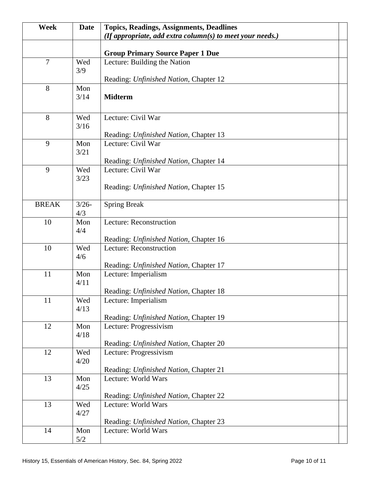| Week           | Date        | <b>Topics, Readings, Assignments, Deadlines</b>                  |
|----------------|-------------|------------------------------------------------------------------|
|                |             | (If appropriate, add extra column(s) to meet your needs.)        |
|                |             | <b>Group Primary Source Paper 1 Due</b>                          |
| $\overline{7}$ | Wed         | Lecture: Building the Nation                                     |
|                | 3/9         |                                                                  |
|                |             | Reading: Unfinished Nation, Chapter 12                           |
| 8              | Mon         |                                                                  |
|                | 3/14        | <b>Midterm</b>                                                   |
| 8              | Wed         | Lecture: Civil War                                               |
|                | 3/16        |                                                                  |
|                |             | Reading: Unfinished Nation, Chapter 13                           |
| 9              | Mon         | Lecture: Civil War                                               |
|                | 3/21        | Reading: Unfinished Nation, Chapter 14                           |
| 9              | Wed         | Lecture: Civil War                                               |
|                | 3/23        |                                                                  |
|                |             | Reading: Unfinished Nation, Chapter 15                           |
| <b>BREAK</b>   | $3/26 -$    |                                                                  |
|                | 4/3         | <b>Spring Break</b>                                              |
| 10             | Mon         | Lecture: Reconstruction                                          |
|                | 4/4         |                                                                  |
|                |             | Reading: Unfinished Nation, Chapter 16                           |
| 10             | Wed<br>4/6  | Lecture: Reconstruction                                          |
|                |             | Reading: Unfinished Nation, Chapter 17                           |
| 11             | Mon         | Lecture: Imperialism                                             |
|                | 4/11        |                                                                  |
|                |             | Reading: Unfinished Nation, Chapter 18                           |
| 11             | Wed<br>4/13 | Lecture: Imperialism                                             |
|                |             | Reading: Unfinished Nation, Chapter 19                           |
| 12             | Mon         | Lecture: Progressivism                                           |
|                | 4/18        |                                                                  |
| 12             | Wed         | Reading: Unfinished Nation, Chapter 20<br>Lecture: Progressivism |
|                | 4/20        |                                                                  |
|                |             | Reading: Unfinished Nation, Chapter 21                           |
| 13             | Mon         | Lecture: World Wars                                              |
|                | 4/25        |                                                                  |
| 13             | Wed         | Reading: Unfinished Nation, Chapter 22<br>Lecture: World Wars    |
|                | 4/27        |                                                                  |
|                |             | Reading: Unfinished Nation, Chapter 23                           |
| 14             | Mon         | Lecture: World Wars                                              |
|                | 5/2         |                                                                  |